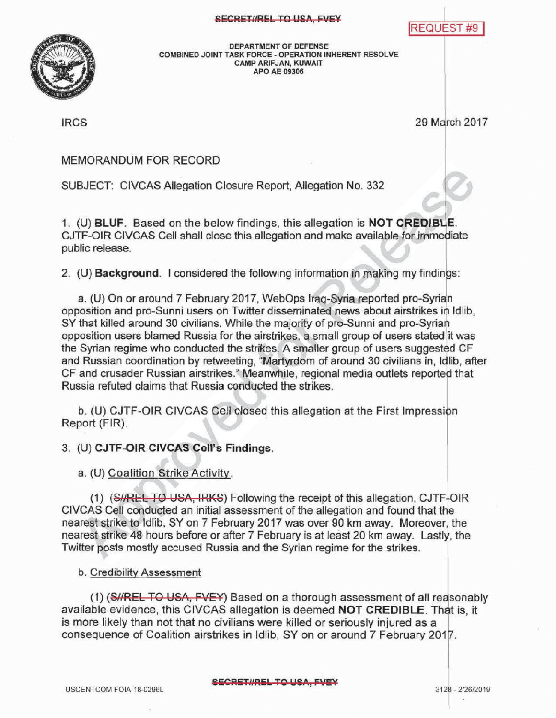**REQUEST #9** 



DEPARTMENTOF DEFENSE COMBINED JOINT TASK FORCE - OPERATION INHERENT RESOLVE CAMP ARIFJAN, KUWAIT APO AE 09306

IRCS 29 March 2017

## MEMORANDUMFOR RECORD

SUBJECT: CIVCAS Allegation Closure Report, Allegation No. 332

1. (U) BLUF. Based on the below findings, this allegation is NOT CREDIBLE. CJTF-OIR CIVCAS Cell shall close this allegation and make available for immediate public release

2. (U) **Background.** I considered the following information in making my findings:

a. (U) On or around 7 February 2017, WebOps Iraq-Syria reported pro-Syrian opposition and pro-Sunni users on Twitter disseminated news about airstrikes in Idlib, SY that killed around 30 civilians. While the majority of pro-Sunni and pro-Syrian opposition users blamed Russia for the airstrikes, a small group of users stated it was the Syrian regime who conducted the strikes. A smaller group of users suggested CF and Russian coordination by retweeting, "Martyrdom of around 30 civilians in, Idlib, after CF and crusader Russian airstrikes." Meanwhile, regional media outlets reported that Russia refuted claims that Russia conducted the strikes.

b. (U) CJTF-OIR CIVCAS Cell closed this allegation at the First Impression Report (FIR) .

3. (U) CJTF-OIR CIVCAS Cell's Findings.

a. (U) Coalition Strike Activity.

(1) (SHREL TO USA, IRKS) Following the receipt of this allegation, CJTF-OIR CIVCAS Cell conducted an initial assessment of the allegation and found that the nearest strike to Idlib, SY on 7 February 2017 was over 90 km away. Moreover, the nearest strike 48 hours before or after 7 February is at least20 km away. Lastly, the Twitter posts mostly accused Russia and the Syrian regime for the strikes.

b. Credibility Assessment

(1) (SHREL TO USA, FVEY) Based on a thorough assessment of all reasonably available evidence, this CIVCAS allegation is deemed NOT CREDIBLE. That is, it is more likely than not that no civilians were killed or seriously injured as a consequence of Coalition airstrikes in Idlib, SY on or around 7 February 2017 .